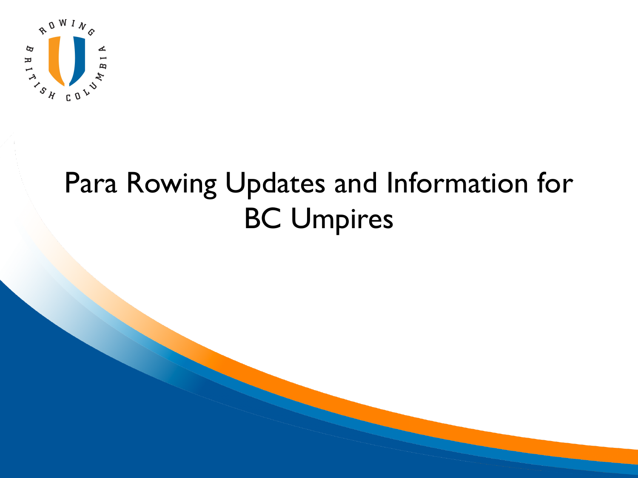

#### Para Rowing Updates and Information for BC Umpires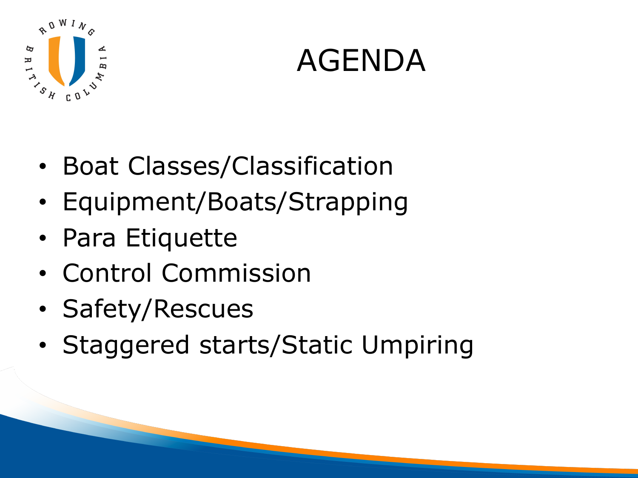

### AGENDA

- Boat Classes/Classification
- Equipment/Boats/Strapping
- Para Etiquette
- Control Commission
- Safety/Rescues
- Staggered starts/Static Umpiring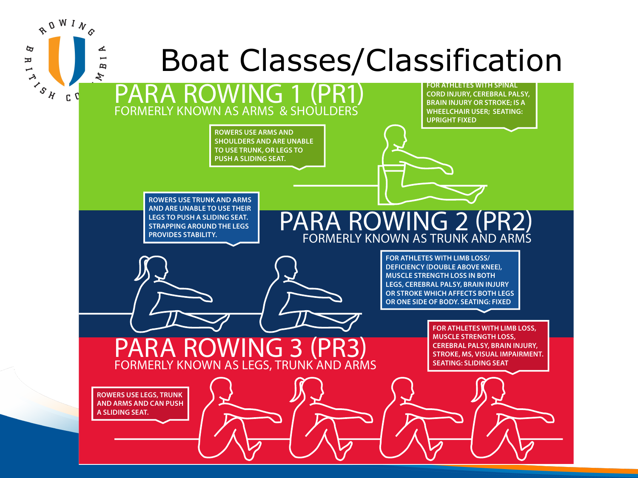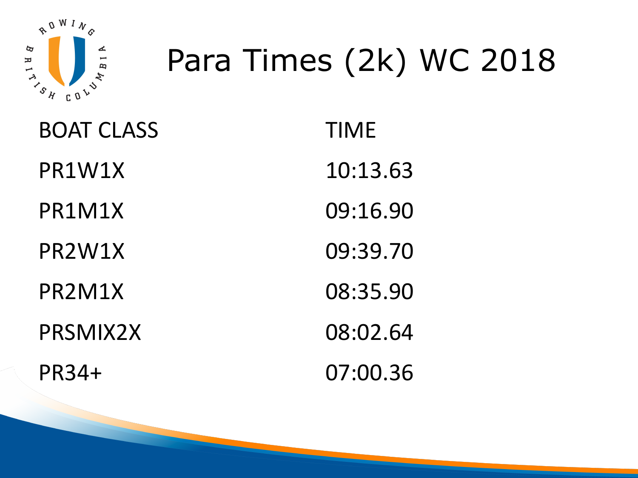

# Para Times (2k) WC 2018

| <b>BOAT CLASS</b> | <b>TIME</b> |
|-------------------|-------------|
| PR1W1X            | 10:13.63    |
| PR1M1X            | 09:16.90    |
| PR2W1X            | 09:39.70    |
| PR2M1X            | 08:35.90    |
| PRSMIX2X          | 08:02.64    |
| PR34+             | 07:00.36    |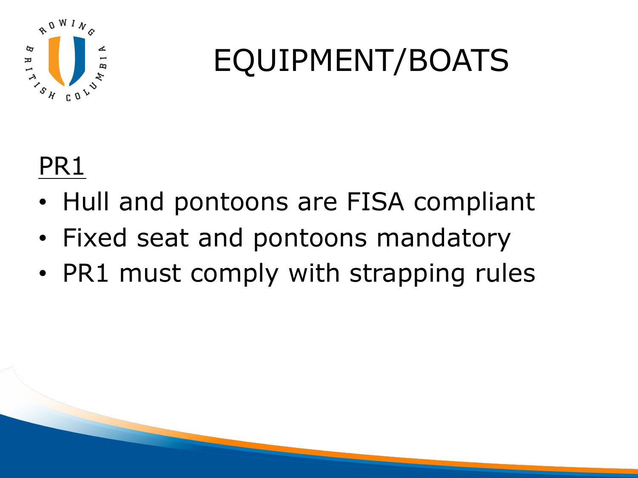

## EQUIPMENT/BOATS

#### PR1

- Hull and pontoons are FISA compliant
- Fixed seat and pontoons mandatory
- PR1 must comply with strapping rules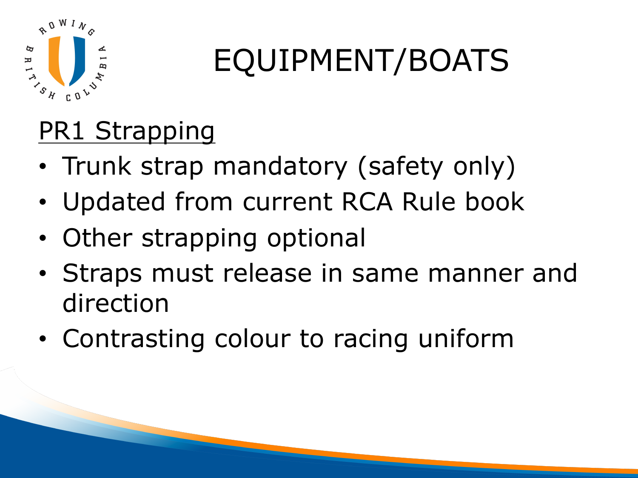

# EQUIPMENT/BOATS

#### PR1 Strapping

- Trunk strap mandatory (safety only)
- Updated from current RCA Rule book
- Other strapping optional
- Straps must release in same manner and direction
- Contrasting colour to racing uniform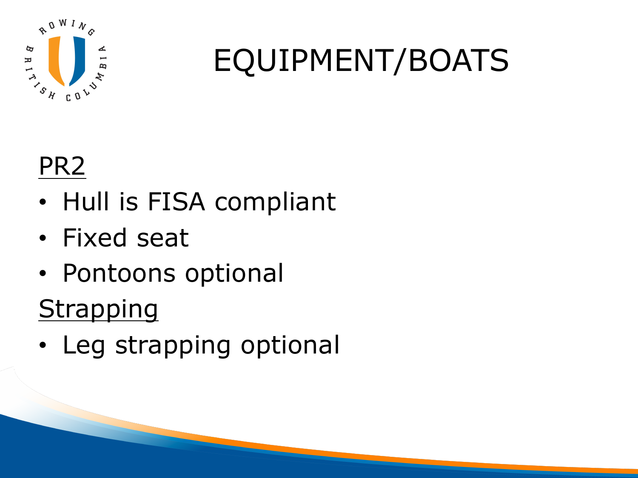

## EQUIPMENT/BOATS

#### PR2

- Hull is FISA compliant
- Fixed seat
- Pontoons optional **Strapping**
- Leg strapping optional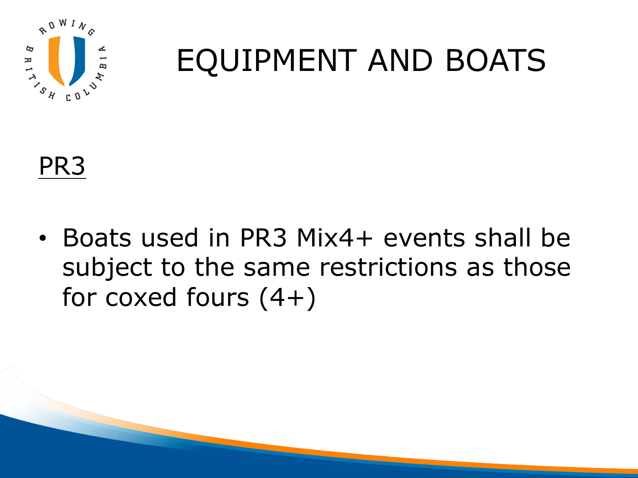

## EQUIPMENT AND BOATS

PR3

• Boats used in PR3 Mix4+ events shall be subject to the same restrictions as those for coxed fours  $(4+)$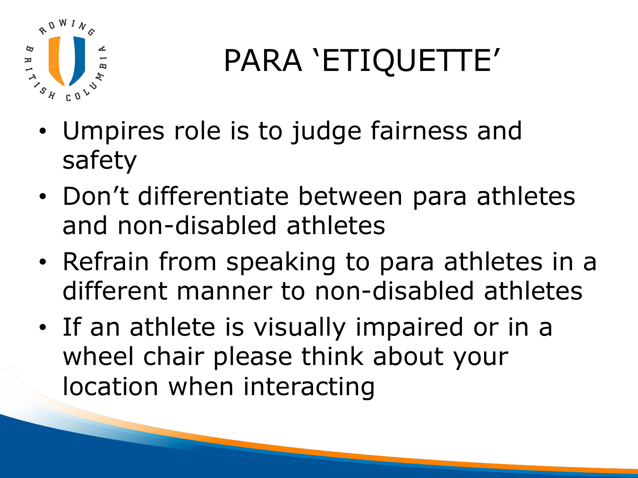

# PARA 'ETIQUETTE'

- Umpires role is to judge fairness and safety
- Don't differentiate between para athletes and non-disabled athletes
- Refrain from speaking to para athletes in a different manner to non-disabled athletes
- If an athlete is visually impaired or in a wheel chair please think about your location when interacting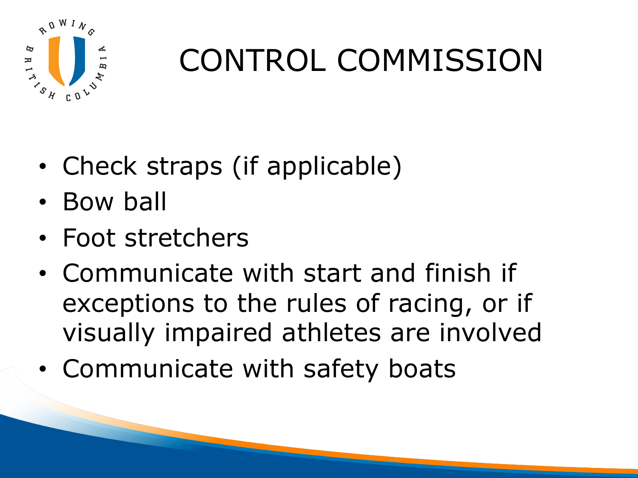

## CONTROL COMMISSION

- Check straps (if applicable)
- Bow ball
- Foot stretchers
- Communicate with start and finish if exceptions to the rules of racing, or if visually impaired athletes are involved
- Communicate with safety boats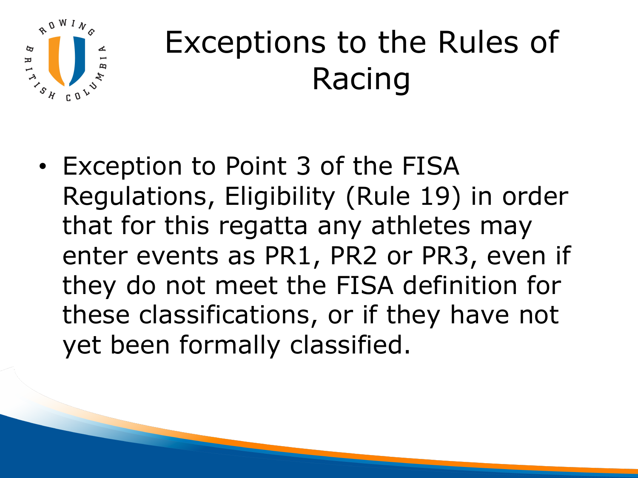

## Exceptions to the Rules of Racing

• Exception to Point 3 of the FISA Regulations, Eligibility (Rule 19) in order that for this regatta any athletes may enter events as PR1, PR2 or PR3, even if they do not meet the FISA definition for these classifications, or if they have not yet been formally classified.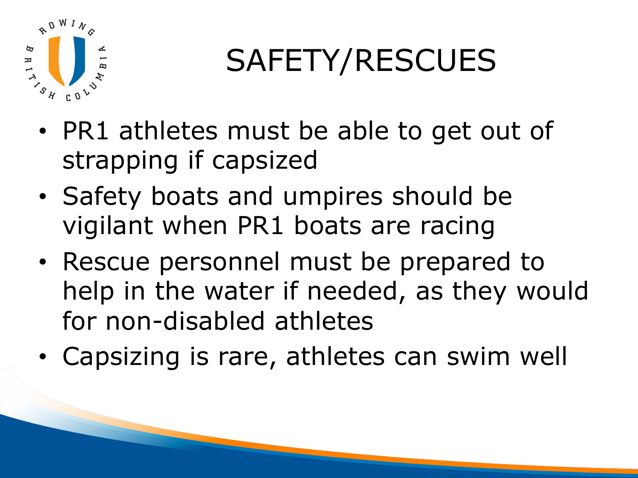

# SAFETY/RESCUES

- PR1 athletes must be able to get out of strapping if capsized
- Safety boats and umpires should be vigilant when PR1 boats are racing
- Rescue personnel must be prepared to help in the water if needed, as they would for non-disabled athletes
- Capsizing is rare, athletes can swim well